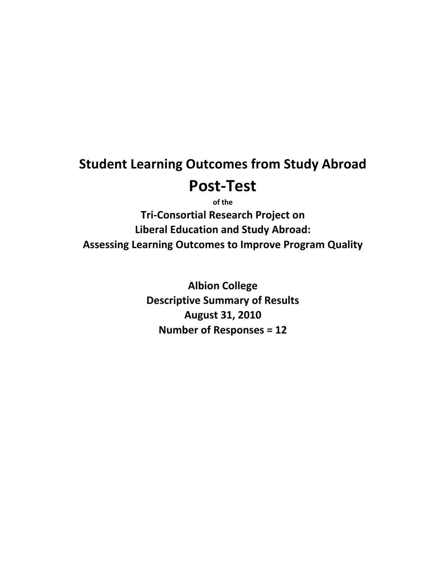# **Student Learning Outcomes from Study Abroad Post‐Test**

**of the Tri‐Consortial Research Project on Liberal Education and Study Abroad: Assessing Learning Outcomes to Improve Program Quality**

> **Albion College Descriptive Summary of Results August 31, 2010 Number of Responses = 12**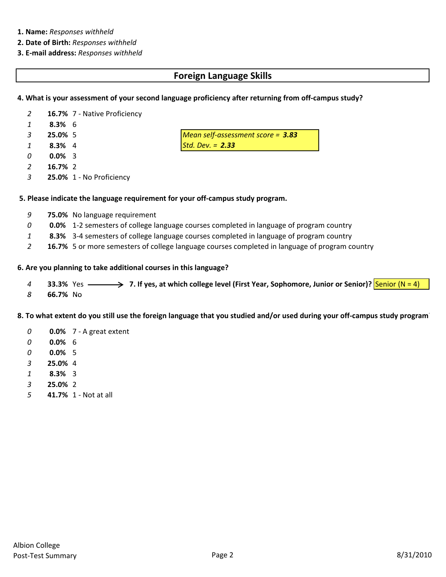#### **1. Name:** *Responses withheld*

- **2. Date of Birth:** *Responses withheld*
- **3. E‐mail address:** *Responses withheld*

#### **Foreign Language Skills**

#### **4. What is your assessment of your second language proficiency after returning from off‐campus study?**

- **16.7%** 7 ‐ Native Proficiency
- **8.3%** 6
- **25.0%** 5 *Mean self‐assessment score = 3.83*
- **8.3%** 4 *Std. Dev. = 2.33*
- **0.0%** 3
- **16.7%** 2
- **25.0%** 1 ‐ No Proficiency

#### **5. Please indicate the language requirement for your off‐campus study program.**

- **75.0%** No language requirement
- **0.0%** 1‐2 semesters of college language courses completed in language of program country
- **8.3%** 3‐4 semesters of college language courses completed in language of program country
- **16.7%** 5 or more semesters of college language courses completed in language of program country

#### **6. Are you planning to take additional courses in this language?**

- **33.3%** Yes **————> 7.** If yes, at which college level (First Year, Sophomore, Junior or Senior)? Senior (N = 4)
- **66.7%** No

#### 8. To what extent do you still use the foreign language that you studied and/or used during your off-campus study program

- **0.0%** 7 ‐ A great extent
- **0.0%** 6
- **0.0%** 5
- **25.0%** 4
- **8.3%** 3
- **25.0%** 2
- **41.7%** 1 ‐ Not at all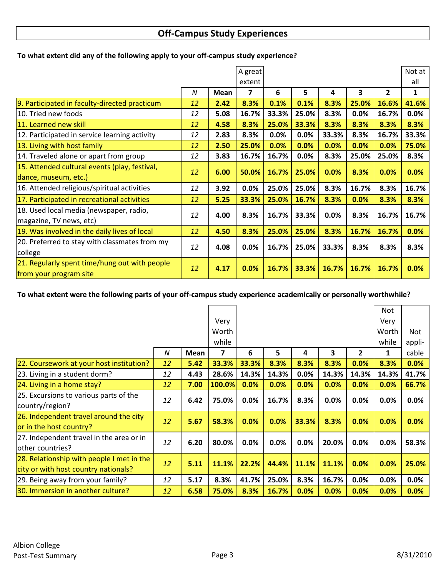## **Off‐Campus Study Experiences**

|                                               |    |             | A great |       |       |       |       |              | Not at       |
|-----------------------------------------------|----|-------------|---------|-------|-------|-------|-------|--------------|--------------|
|                                               |    |             |         |       |       |       |       |              |              |
|                                               |    |             | extent  |       |       |       |       |              | all          |
|                                               | N  | <b>Mean</b> | 7       | 6     | 5     | 4     | 3     | $\mathbf{2}$ | $\mathbf{1}$ |
| 9. Participated in faculty-directed practicum | 12 | 2.42        | 8.3%    | 0.1%  | 0.1%  | 8.3%  | 25.0% | 16.6%        | 41.6%        |
| 10. Tried new foods                           | 12 | 5.08        | 16.7%   | 33.3% | 25.0% | 8.3%  | 0.0%  | 16.7%        | 0.0%         |
| 11. Learned new skill                         | 12 | 4.58        | 8.3%    | 25.0% | 33.3% | 8.3%  | 8.3%  | 8.3%         | 8.3%         |
| 12. Participated in service learning activity | 12 | 2.83        | 8.3%    | 0.0%  | 0.0%  | 33.3% | 8.3%  | 16.7%        | 33.3%        |
| 13. Living with host family                   | 12 | 2.50        | 25.0%   | 0.0%  | 0.0%  | 0.0%  | 0.0%  | 0.0%         | 75.0%        |
| 14. Traveled alone or apart from group        | 12 | 3.83        | 16.7%   | 16.7% | 0.0%  | 8.3%  | 25.0% | 25.0%        | 8.3%         |
| 15. Attended cultural events (play, festival, | 12 | 6.00        | 50.0%   | 16.7% | 25.0% | 0.0%  | 8.3%  | 0.0%         | 0.0%         |
| dance, museum, etc.)                          |    |             |         |       |       |       |       |              |              |
| 16. Attended religious/spiritual activities   | 12 | 3.92        | 0.0%    | 25.0% | 25.0% | 8.3%  | 16.7% | 8.3%         | 16.7%        |
| 17. Participated in recreational activities   | 12 | 5.25        | 33.3%   | 25.0% | 16.7% | 8.3%  | 0.0%  | 8.3%         | 8.3%         |
| 18. Used local media (newspaper, radio,       | 12 | 4.00        | 8.3%    | 16.7% | 33.3% | 0.0%  | 8.3%  | 16.7%        | 16.7%        |
| magazine, TV news, etc)                       |    |             |         |       |       |       |       |              |              |
| 19. Was involved in the daily lives of local  | 12 | 4.50        | 8.3%    | 25.0% | 25.0% | 8.3%  | 16.7% | 16.7%        | 0.0%         |
| 20. Preferred to stay with classmates from my |    |             |         |       |       |       |       |              |              |
| college                                       | 12 | 4.08        | 0.0%    | 16.7% | 25.0% | 33.3% | 8.3%  | 8.3%         | 8.3%         |
| 21. Regularly spent time/hung out with people |    |             |         |       |       |       |       |              |              |
| from your program site                        | 12 | 4.17        | 0.0%    | 16.7% | 33.3% | 16.7% | 16.7% | 16.7%        | 0.0%         |

#### **To what extent did any of the following apply to your off‐campus study experience?**

To what extent were the following parts of your off-campus study experience academically or personally worthwhile?

|                                           |    |      |        |       |       |       |       |              | Not     |         |
|-------------------------------------------|----|------|--------|-------|-------|-------|-------|--------------|---------|---------|
|                                           |    |      | Very   |       |       |       |       |              | Very    |         |
|                                           |    |      | Worth  |       |       |       |       |              | Worth   | Not     |
|                                           |    |      | while  |       |       |       |       |              | while   | appli-  |
|                                           | N  | Mean | 7      | 6     | 5     | 4     | 3     | $\mathbf{2}$ | 1       | cable   |
| 22. Coursework at your host institution?  | 12 | 5.42 | 33.3%  | 33.3% | 8.3%  | 8.3%  | 8.3%  | 0.0%         | 8.3%    | 0.0%    |
| 23. Living in a student dorm?             | 12 | 4.43 | 28.6%  | 14.3% | 14.3% | 0.0%  | 14.3% | 14.3%        | 14.3%   | 41.7%   |
| 24. Living in a home stay?                | 12 | 7.00 | 100.0% | 0.0%  | 0.0%  | 0.0%  | 0.0%  | 0.0%         | 0.0%    | 66.7%   |
| 25. Excursions to various parts of the    | 12 | 6.42 | 75.0%  | 0.0%  | 16.7% | 8.3%  | 0.0%  | 0.0%         | $0.0\%$ | 0.0%    |
| country/region?                           |    |      |        |       |       |       |       |              |         |         |
| 26. Independent travel around the city    | 12 | 5.67 | 58.3%  | 0.0%  | 0.0%  | 33.3% | 8.3%  | 0.0%         | 0.0%    | 0.0%    |
| or in the host country?                   |    |      |        |       |       |       |       |              |         |         |
| 27. Independent travel in the area or in  | 12 | 6.20 | 80.0%  | 0.0%  | 0.0%  | 0.0%  | 20.0% | 0.0%         | 0.0%    | 58.3%   |
| other countries?                          |    |      |        |       |       |       |       |              |         |         |
| 28. Relationship with people I met in the | 12 |      | 11.1%  | 22.2% | 44.4% | 11.1% | 11.1% | 0.0%         |         | 25.0%   |
| city or with host country nationals?      |    | 5.11 |        |       |       |       |       |              | 0.0%    |         |
| 29. Being away from your family?          | 12 | 5.17 | 8.3%   | 41.7% | 25.0% | 8.3%  | 16.7% | 0.0%         | 0.0%    | $0.0\%$ |
| 30. Immersion in another culture?         | 12 | 6.58 | 75.0%  | 8.3%  | 16.7% | 0.0%  | 0.0%  | 0.0%         | 0.0%    | 0.0%    |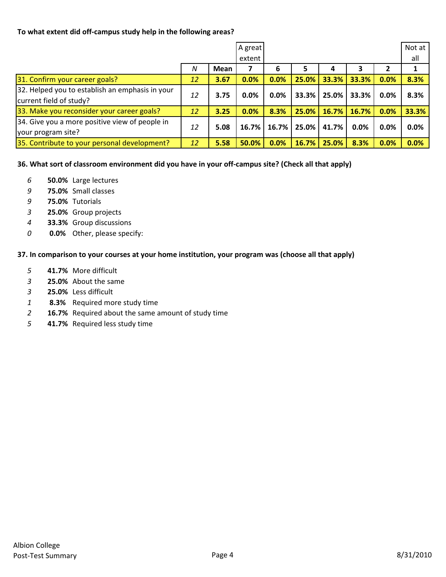#### **To what extent did off‐campus study help in the following areas?**

|                                                 |    |      | A great  |         |       |       |       |      | Not at |
|-------------------------------------------------|----|------|----------|---------|-------|-------|-------|------|--------|
|                                                 |    |      | extent   |         |       |       |       |      | all    |
|                                                 | N  | Mean |          | 6       |       |       |       |      |        |
| 31. Confirm your career goals?                  | 12 | 3.67 | 0.0%     | 0.0%    | 25.0% | 33.3% | 33.3% | 0.0% | 8.3%   |
| 32. Helped you to establish an emphasis in your |    | 3.75 | 0.0%     | $0.0\%$ | 33.3% | 25.0% | 33.3% | 0.0% | 8.3%   |
| current field of study?                         | 12 |      |          |         |       |       |       |      |        |
| 33. Make you reconsider your career goals?      | 12 | 3.25 | 0.0%     | 8.3%    | 25.0% | 16.7% | 16.7% | 0.0% | 33.3%  |
| 34. Give you a more positive view of people in  | 12 | 5.08 | $16.7\%$ | 16.7%   | 25.0% |       |       |      | 0.0%   |
| your program site?                              |    |      |          |         |       | 41.7% | 0.0%  | 0.0% |        |
| 35. Contribute to your personal development?    | 12 | 5.58 | 50.0%    | 0.0%    | 16.7% | 25.0% | 8.3%  | 0.0% | 0.0%   |

36. What sort of classroom environment did you have in your off-campus site? (Check all that apply)

- *6* **50.0%** Large lectures
- *9* **75.0%** Small classes
- *9* **75.0%** Tutorials
- *3* **25.0%** Group projects
- *4* **33.3%** Group discussions
- *0* **0.0%** Other, please specify:

**37. In comparison to your courses at your home institution, your program was (choose all that apply)**

- *5* **41.7%** More difficult
- *3* **25.0%** About the same
- *3* **25.0%** Less difficult
- *1* **8.3%** Required more study time
- *2* **16.7%** Required about the same amount of study time
- *5* **41.7%** Required less study time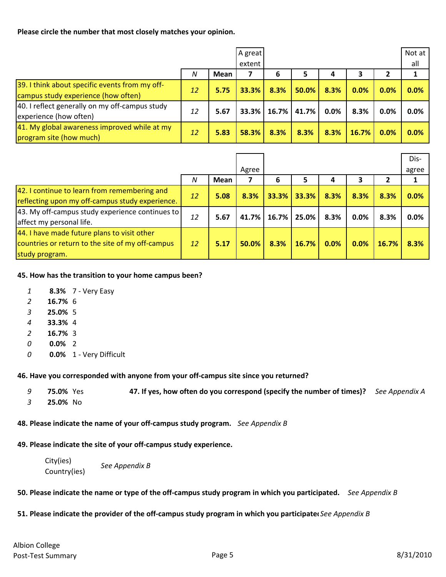**Please circle the number that most closely matches your opinion.**

|                                                                                       |    |      | A great<br>extent |      |                          |      |       |         | Not at<br>all |
|---------------------------------------------------------------------------------------|----|------|-------------------|------|--------------------------|------|-------|---------|---------------|
|                                                                                       | N  | Mean |                   | 6    | 5                        |      |       |         |               |
| 39. I think about specific events from my off-<br>campus study experience (how often) | 12 | 5.75 | 33.3%             | 8.3% | 50.0%                    | 8.3% | 0.0%  | 0.0%    | 0.0%          |
| 40. I reflect generally on my off-campus study<br>experience (how often)              | 12 | 5.67 |                   |      | $33.3\%$   16.7%   41.7% | 0.0% | 8.3%  | $0.0\%$ | 0.0%          |
| 41. My global awareness improved while at my<br>program site (how much)               | 12 | 5.83 | 58.3%             | 8.3% | 8.3%                     | 8.3% | 16.7% | 0.0%    | 0.0%          |

|                                                  |    |      |       |             |       |      |      |       | Dis-  |
|--------------------------------------------------|----|------|-------|-------------|-------|------|------|-------|-------|
|                                                  |    |      | Agree |             |       |      |      |       | agree |
|                                                  | N  | Mean |       | 6           | 5     | 4    | 3    |       |       |
| 42. I continue to learn from remembering and     | 12 | 5.08 | 8.3%  | 33.3%       | 33.3% | 8.3% | 8.3% | 8.3%  | 0.0%  |
| reflecting upon my off-campus study experience.  |    |      |       |             |       |      |      |       |       |
| 43. My off-campus study experience continues to  | 12 | 5.67 |       | 41.7% 16.7% | 25.0% | 8.3% | 0.0% | 8.3%  | 0.0%  |
| affect my personal life.                         |    |      |       |             |       |      |      |       |       |
| 44. I have made future plans to visit other      |    |      |       |             |       |      |      |       |       |
| countries or return to the site of my off-campus | 12 | 5.17 | 50.0% | 8.3%        | 16.7% | 0.0% | 0.0% | 16.7% | 8.3%  |
| study program.                                   |    |      |       |             |       |      |      |       |       |

#### **45. How has the transition to your home campus been?**

- *1* **8.3%** 7 ‐ Very Easy
- *2* **16.7%** 6
- *3* **25.0%** 5
- *4* **33.3%** 4
- *2* **16.7%** 3
- *0* **0.0%** 2
- *0* **0.0%** 1 ‐ Very Difficult

#### **46. Have you corresponded with anyone from your off‐campus site since you returned?**

| 9 | <b>75.0%</b> Yes | 47. If yes, how often do you correspond (specify the number of times)? See Appendix A |  |
|---|------------------|---------------------------------------------------------------------------------------|--|
|   | 25.0% No         |                                                                                       |  |

#### **48. Please indicate the name of your off‐campus study program.** *See Appendix B*

#### **49. Please indicate the site of your off‐campus study experience.**

| City(ies)    | See Appendix B |
|--------------|----------------|
| Country(ies) |                |

#### 50. Please indicate the name or type of the off-campus study program in which you participated. See Appendix B

#### 51. Please indicate the provider of the off-campus study program in which you participate See Appendix B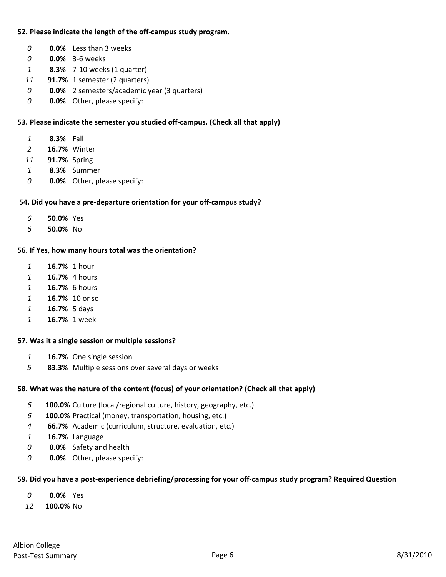#### **52. Please indicate the length of the off‐campus study program.**

- **0.0%** Less than 3 weeks
- **0.0%** 3‐6 weeks
- **8.3%** 7‐10 weeks (1 quarter)
- **91.7%** 1 semester (2 quarters)
- **0.0%** 2 semesters/academic year (3 quarters)
- **0.0%** Other, please specify:

#### **53. Please indicate the semester you studied off‐campus. (Check all that apply)**

- **8.3%** Fall
- **16.7%** Winter
- **91.7%** Spring
- **8.3%** Summer
- **0.0%** Other, please specify:

#### **54. Did you have a pre‐departure orientation for your off‐campus study?**

- **50.0%** Yes
- **50.0%** No

#### **56. If Yes, how many hours total was the orientation?**

- **16.7%** 1 hour
- **16.7%** 4 hours
- **16.7%** 6 hours
- **16 7%.** 10 or so
- **16.7%** 5 days
- **16.7%** 1 week

#### **57. Was it a single session or multiple sessions?**

- **16.7%** One single session
- **83.3%** Multiple sessions over several days or weeks

#### **58. What was the nature of the content (focus) of your orientation? (Check all that apply)**

- **100.0%** Culture (local/regional culture, history, geography, etc.)
- **100.0%** Practical (money, transportation, housing, etc.)
- **66.7%** Academic (curriculum, structure, evaluation, etc.)
- **16.7%** Language
- **0.0%** Safety and health
- **0.0%** Other, please specify:

#### 59. Did you have a post-experience debriefing/processing for your off-campus study program? Required Question

- **0.0%** Yes
- **100.0%** No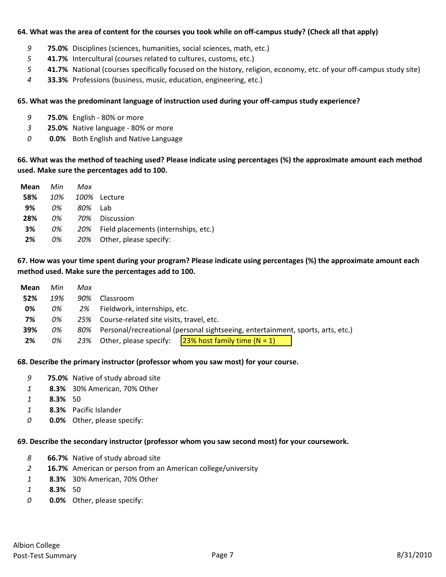#### 64. What was the area of content for the courses you took while on off-campus study? (Check all that apply)

- *9* **75.0%** Disciplines (sciences, humanities, social sciences, math, etc.)
- *5* **41.7%** Intercultural (courses related to cultures, customs, etc.)
- *5* **41.7%** National (courses specifically focused on the history, religion, economy, etc. of your off‐campus study site)
- *4* **33.3%** Professions (business, music, education, engineering, etc.)

#### **65. What was the predominant language of instruction used during your off‐campus study experience?**

- *9* **75.0%** English ‐ 80% or more
- *3* **25.0%** Native language ‐ 80% or more
- *0* **0.0%** Both English and Native Language

66. What was the method of teaching used? Please indicate using percentages (%) the approximate amount each method **used. Make sure the percentages add to 100.**

| <b>Mean</b> Min |    | Max     |                                          |
|-----------------|----|---------|------------------------------------------|
| 58%             |    |         | 10% 100% Lecture                         |
| 9%              | 0% | 80% Lab |                                          |
| 28%             | 0% |         | 70% Discussion                           |
| 3%              | 0% |         | 20% Field placements (internships, etc.) |
| 2%              | 0% |         | 20% Other, please specify:               |

#### 67. How was your time spent during your program? Please indicate using percentages (%) the approximate amount each **method used. Make sure the percentages add to 100.**

| Mean | Min | Max |                                                                                 |                                                               |  |  |
|------|-----|-----|---------------------------------------------------------------------------------|---------------------------------------------------------------|--|--|
| 52%  | 19% | 90% | Classroom                                                                       |                                                               |  |  |
| 0%   | 0%  | 2%  | Fieldwork, internships, etc.                                                    |                                                               |  |  |
| 7%   | 0%  | 25% |                                                                                 | Course-related site visits, travel, etc.                      |  |  |
| 39%  | 0%  | 80% | Personal/recreational (personal sightseeing, entertainment, sports, arts, etc.) |                                                               |  |  |
| 2%   | 0%  | 23% |                                                                                 | Other, please specify: $\sqrt{23\%}$ host family time (N = 1) |  |  |

#### **68. Describe the primary instructor (professor whom you saw most) for your course.**

- *9* **75.0%** Native of study abroad site
- *1* **8.3%** 30% American, 70% Other
- *1* **8.3%** 50
- *1* **8.3%** Pacific Islander
- *0* **0.0%** Other, please specify:

#### **69. Describe the secondary instructor (professor whom you saw second most) for your coursework.**

- *8* **66.7%** Native of study abroad site
- *2* **16.7%** American or person from an American college/university
- *1* **8.3%** 30% American, 70% Other
- *1* **8.3%** 50
- *0* **0.0%** Other, please specify: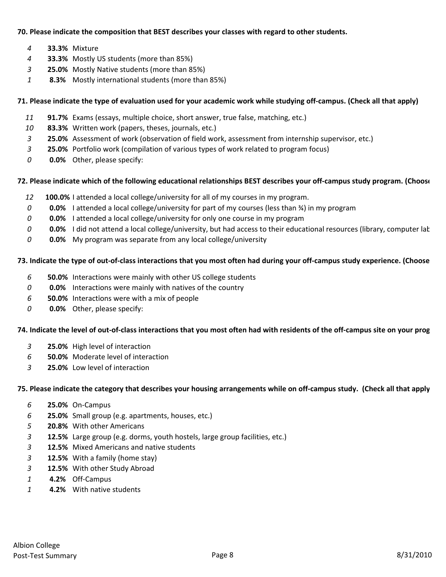#### **70. Please indicate the composition that BEST describes your classes with regard to other students.**

- **33.3%** Mixture
- **33.3%** Mostly US students (more than 85%)
- **25.0%** Mostly Native students (more than 85%)
- **8.3%** Mostly international students (more than 85%)

#### 71. Please indicate the type of evaluation used for your academic work while studying off-campus. (Check all that apply)

- **91.7%** Exams (essays, multiple choice, short answer, true false, matching, etc.)
- **83.3%** Written work (papers, theses, journals, etc.)
- **25.0%** Assessment of work (observation of field work, assessment from internship supervisor, etc.)
- **25.0%** Portfolio work (compilation of various types of work related to program focus)
- **0.0%** Other, please specify:

#### 72. Please indicate which of the following educational relationships BEST describes your off-campus study program. (Choose

- **100.0%** I attended a local college/university for all of my courses in my program.
- **0.0%** I attended a local college/university for part of my courses (less than ¾) in my program
- **0.0%** I attended a local college/university for only one course in my program
- **0.0%** I did not attend a local college/university, but had access to their educational resources (library, computer lab
- **0.0%** My program was separate from any local college/university

#### 73. Indicate the type of out-of-class interactions that you most often had during your off-campus study experience. (Choose

- **50.0%** Interactions were mainly with other US college students
- **0.0%** Interactions were mainly with natives of the country
- **50.0%** Interactions were with a mix of people
- **0.0%** Other, please specify:

#### 74. Indicate the level of out-of-class interactions that you most often had with residents of the off-campus site on your prog

- **25.0%** High level of interaction
- **50.0%** Moderate level of interaction
- **25.0%** Low level of interaction

#### 75. Please indicate the category that describes your housing arrangements while on off-campus study. (Check all that apply

- **25.0%** On‐Campus
- **25.0%** Small group (e.g. apartments, houses, etc.)
- **20.8%** With other Americans
- **12.5%** Large group (e.g. dorms, youth hostels, large group facilities, etc.)
- **12.5%** Mixed Americans and native students
- **12.5%** With a family (home stay)
- **12.5%** With other Study Abroad
- **4.2%** Off‐Campus
- **4.2%** With native students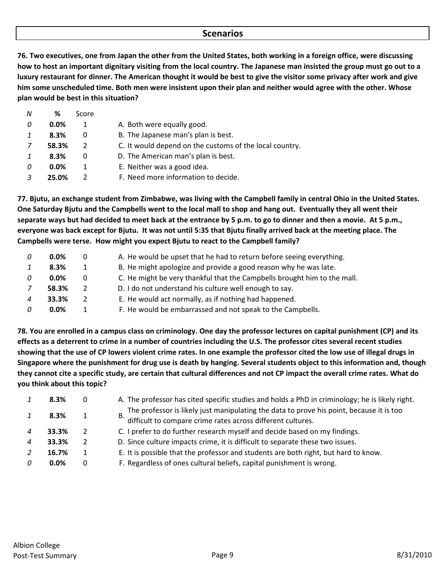#### **Scenarios**

76. Two executives, one from Japan the other from the United States, both working in a foreign office, were discussing how to host an important dignitary visiting from the local country. The Japanese man insisted the group must go out to a luxury restaurant for dinner. The American thought it would be best to give the visitor some privacy after work and give him some unscheduled time. Both men were insistent upon their plan and neither would agree with the other. Whose **plan would be best in this situation?**

| N | ℅       | Score         |                                                         |
|---|---------|---------------|---------------------------------------------------------|
| 0 | $0.0\%$ |               | A. Both were equally good.                              |
|   | 8.3%    | 0             | B. The Japanese man's plan is best.                     |
|   | 58.3%   | $\mathcal{L}$ | C. It would depend on the customs of the local country. |
|   | 8.3%    | 0             | D. The American man's plan is best.                     |
| 0 | 0.0%    |               | E. Neither was a good idea.                             |
|   | 25.0%   |               | F. Need more information to decide.                     |

77. Bjutu, an exchange student from Zimbabwe, was living with the Campbell family in central Ohio in the United States. One Saturday Bjutu and the Campbells went to the local mall to shop and hang out. Eventually they all went their separate ways but had decided to meet back at the entrance by 5 p.m. to go to dinner and then a movie. At 5 p.m., everyone was back except for Bjutu. It was not until 5:35 that Bjutu finally arrived back at the meeting place. The **Campbells were terse. How might you expect Bjutu to react to the Campbell family?**

|   | $0.0\%$ |               | A. He would be upset that he had to return before seeing everything.     |
|---|---------|---------------|--------------------------------------------------------------------------|
|   | 8.3%    |               | B. He might apologize and provide a good reason why he was late.         |
|   | $0.0\%$ |               | C. He might be very thankful that the Campbells brought him to the mall. |
|   | 58.3%   | $\mathcal{P}$ | D. I do not understand his culture well enough to say.                   |
| 4 | 33.3%   | $\mathcal{P}$ | E. He would act normally, as if nothing had happened.                    |
|   | $0.0\%$ |               | F. He would be embarrassed and not speak to the Campbells.               |

78. You are enrolled in a campus class on criminology. One day the professor lectures on capital punishment (CP) and its effects as a deterrent to crime in a number of countries including the U.S. The professor cites several recent studies showing that the use of CP lowers violent crime rates. In one example the professor cited the low use of illegal drugs in Singapore where the punishment for drug use is death by hanging. Several students object to this information and, though they cannot cite a specific study, are certain that cultural differences and not CP impact the overall crime rates. What do **you think about this topic?**

| 8.3%  | 0 | A. The professor has cited specific studies and holds a PhD in criminology; he is likely right.                                                               |
|-------|---|---------------------------------------------------------------------------------------------------------------------------------------------------------------|
| 8.3%  |   | The professor is likely just manipulating the data to prove his point, because it is too<br>В.<br>difficult to compare crime rates across different cultures. |
| 33.3% |   | C. I prefer to do further research myself and decide based on my findings.                                                                                    |
| 33.3% |   | D. Since culture impacts crime, it is difficult to separate these two issues.                                                                                 |
| 16.7% |   | E. It is possible that the professor and students are both right, but hard to know.                                                                           |
| 0.0%  |   | F. Regardless of ones cultural beliefs, capital punishment is wrong.                                                                                          |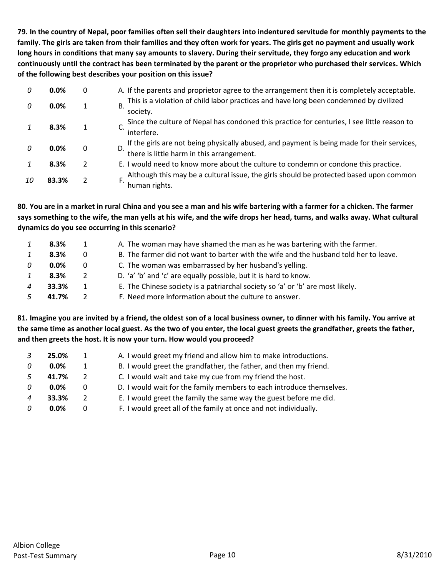79. In the country of Nepal, poor families often sell their daughters into indentured servitude for monthly payments to the family. The girls are taken from their families and they often work for years. The girls get no payment and usually work long hours in conditions that many say amounts to slavery. During their servitude, they forgo any education and work continuously until the contract has been terminated by the parent or the proprietor who purchased their services. Which **of the following best describes your position on this issue?**

| 0  | 0.0%  | 0 | A. If the parents and proprietor agree to the arrangement then it is completely acceptable.                                              |
|----|-------|---|------------------------------------------------------------------------------------------------------------------------------------------|
| 0  | 0.0%  |   | This is a violation of child labor practices and have long been condemned by civilized<br>В.<br>society.                                 |
|    | 8.3%  |   | Since the culture of Nepal has condoned this practice for centuries, I see little reason to<br>interfere.                                |
|    | 0.0%  | 0 | If the girls are not being physically abused, and payment is being made for their services,<br>there is little harm in this arrangement. |
|    | 8.3%  | 2 | E. I would need to know more about the culture to condemn or condone this practice.                                                      |
| 10 | 83.3% |   | Although this may be a cultural issue, the girls should be protected based upon common<br>human rights.                                  |

80. You are in a market in rural China and you see a man and his wife bartering with a farmer for a chicken. The farmer says something to the wife, the man yells at his wife, and the wife drops her head, turns, and walks away. What cultural **dynamics do you see occurring in this scenario?**

|   | 8.3%    |   | A. The woman may have shamed the man as he was bartering with the farmer.             |
|---|---------|---|---------------------------------------------------------------------------------------|
|   | 8.3%    | 0 | B. The farmer did not want to barter with the wife and the husband told her to leave. |
| 0 | $0.0\%$ | 0 | C. The woman was embarrassed by her husband's yelling.                                |
|   | 8.3%    | 2 | D. 'a' 'b' and 'c' are equally possible, but it is hard to know.                      |
|   | 33.3%   |   | E. The Chinese society is a patriarchal society so 'a' or 'b' are most likely.        |
|   | 41.7%   |   | F. Need more information about the culture to answer.                                 |

81. Imagine you are invited by a friend, the oldest son of a local business owner, to dinner with his family. You arrive at the same time as another local guest. As the two of you enter, the local guest greets the grandfather, greets the father, **and then greets the host. It is now your turn. How would you proceed?**

|                           | 25.0%   | 1.            | A. I would greet my friend and allow him to make introductions.      |
|---------------------------|---------|---------------|----------------------------------------------------------------------|
| 0                         | $0.0\%$ | 1             | B. I would greet the grandfather, the father, and then my friend.    |
| 5                         | 41.7%   | $\mathcal{P}$ | C. I would wait and take my cue from my friend the host.             |
| $\Omega$                  | $0.0\%$ | 0             | D. I would wait for the family members to each introduce themselves. |
| $\boldsymbol{\varLambda}$ | 33.3%   | 2             | E. I would greet the family the same way the guest before me did.    |
| $\Omega$                  | $0.0\%$ | 0             | F. I would greet all of the family at once and not individually.     |
|                           |         |               |                                                                      |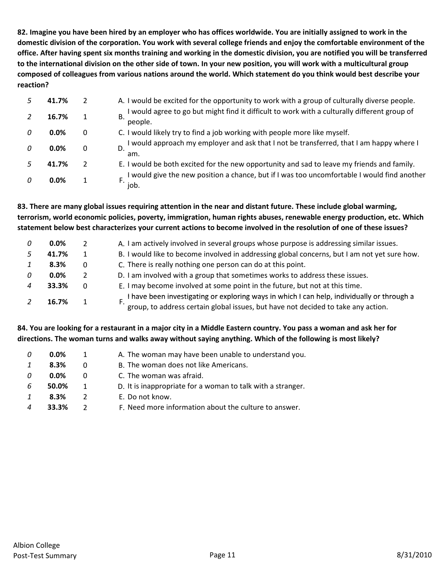82. Imagine you have been hired by an employer who has offices worldwide. You are initially assigned to work in the domestic division of the corporation. You work with several college friends and enjoy the comfortable environment of the office. After having spent six months training and working in the domestic division, you are notified you will be transferred to the international division on the other side of town. In your new position, you will work with a multicultural group composed of colleagues from various nations around the world. Which statement do you think would best describe your **reaction?**

| 41.7% |   | A. I would be excited for the opportunity to work with a group of culturally diverse people.            |
|-------|---|---------------------------------------------------------------------------------------------------------|
| 16.7% | 1 | I would agree to go but might find it difficult to work with a culturally different group of<br>people. |
| 0.0%  | 0 | C. I would likely try to find a job working with people more like myself.                               |
| 0.0%  | 0 | I would approach my employer and ask that I not be transferred, that I am happy where I<br>am.          |
| 41.7% |   | E. I would be both excited for the new opportunity and sad to leave my friends and family.              |
| 0.0%  |   | I would give the new position a chance, but if I was too uncomfortable I would find another<br>job.     |

83. There are many global issues requiring attention in the near and distant future. These include global warming, **terrorism, world economic policies, poverty, immigration, human rights abuses, renewable energy production, etc. Which** statement below best characterizes your current actions to become involved in the resolution of one of these issues?

| 0 | $0.0\%$ |   | A. I am actively involved in several groups whose purpose is addressing similar issues.                                                                                         |
|---|---------|---|---------------------------------------------------------------------------------------------------------------------------------------------------------------------------------|
|   | 41.7%   |   | B. I would like to become involved in addressing global concerns, but I am not yet sure how.                                                                                    |
|   | 8.3%    | 0 | C. There is really nothing one person can do at this point.                                                                                                                     |
|   | $0.0\%$ |   | D. I am involved with a group that sometimes works to address these issues.                                                                                                     |
|   | 33.3%   | 0 | E. I may become involved at some point in the future, but not at this time.                                                                                                     |
|   | 16.7%   |   | I have been investigating or exploring ways in which I can help, individually or through a<br>group, to address certain global issues, but have not decided to take any action. |

#### 84. You are looking for a restaurant in a major city in a Middle Eastern country. You pass a woman and ask her for directions. The woman turns and walks away without saying anything. Which of the following is most likely?

| A. The woman may have been unable to understand you.        |
|-------------------------------------------------------------|
|                                                             |
|                                                             |
| D. It is inappropriate for a woman to talk with a stranger. |
|                                                             |
| F. Need more information about the culture to answer.       |
|                                                             |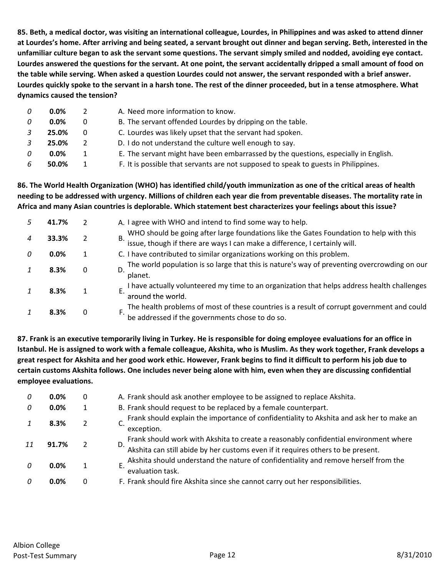85. Beth, a medical doctor, was visiting an international colleague, Lourdes, in Philippines and was asked to attend dinner at Lourdes's home. After arriving and being seated, a servant brought out dinner and began serving. Beth, interested in the unfamiliar culture began to ask the servant some questions. The servant simply smiled and nodded, avoiding eye contact. Lourdes answered the questions for the servant. At one point, the servant accidentally dripped a small amount of food on the table while serving. When asked a question Lourdes could not answer, the servant responded with a brief answer. Lourdes quickly spoke to the servant in a harsh tone. The rest of the dinner proceeded, but in a tense atmosphere. What **dynamics caused the tension?**

| $0.0\%$ |   | A. Need more information to know.                                                   |
|---------|---|-------------------------------------------------------------------------------------|
| $0.0\%$ | 0 | B. The servant offended Lourdes by dripping on the table.                           |
| 25.0%   | 0 | C. Lourdes was likely upset that the servant had spoken.                            |
| 25.0%   |   | D. I do not understand the culture well enough to say.                              |
| $0.0\%$ |   | E. The servant might have been embarrassed by the questions, especially in English. |
| 50.0%   |   | F. It is possible that servants are not supposed to speak to guests in Philippines. |

86. The World Health Organization (WHO) has identified child/youth immunization as one of the critical areas of health needing to be addressed with urgency. Millions of children each year die from preventable diseases. The mortality rate in Africa and many Asian countries is deplorable. Which statement best characterizes your feelings about this issue?

| 41.7% |   | A. I agree with WHO and intend to find some way to help.                                                                                                           |
|-------|---|--------------------------------------------------------------------------------------------------------------------------------------------------------------------|
| 33.3% |   | WHO should be going after large foundations like the Gates Foundation to help with this issue, though if there are ways I can make a difference, I certainly will. |
| 0.0%  |   | C. I have contributed to similar organizations working on this problem.                                                                                            |
| 8.3%  | 0 | The world population is so large that this is nature's way of preventing overcrowding on our<br>planet.                                                            |
| 8.3%  |   | I have actually volunteered my time to an organization that helps address health challenges<br>around the world.                                                   |
| 8.3%  | 0 | The health problems of most of these countries is a result of corrupt government and could be addressed if the governments chose to do so.                         |

87. Frank is an executive temporarily living in Turkey. He is responsible for doing employee evaluations for an office in Istanbul. He is assigned to work with a female colleague, Akshita, who is Muslim. As they work together, Frank develops a great respect for Akshita and her good work ethic. However, Frank begins to find it difficult to perform his job due to certain customs Akshita follows. One includes never being alone with him, even when they are discussing confidential **employee evaluations.**

| 0 | $0.0\%$ | 0             | A. Frank should ask another employee to be assigned to replace Akshita.                                                                                                        |
|---|---------|---------------|--------------------------------------------------------------------------------------------------------------------------------------------------------------------------------|
| 0 | $0.0\%$ |               | B. Frank should request to be replaced by a female counterpart.                                                                                                                |
|   | 8.3%    | 2             | Frank should explain the importance of confidentiality to Akshita and ask her to make an<br>exception.                                                                         |
|   | 91.7%   | $\mathcal{P}$ | Frank should work with Akshita to create a reasonably confidential environment where<br>Akshita can still abide by her customs even if it requires others to be present.<br>D. |
| n | 0.0%    |               | Akshita should understand the nature of confidentiality and remove herself from the<br>evaluation task.                                                                        |
| n | 0.0%    | 0             | F. Frank should fire Akshita since she cannot carry out her responsibilities.                                                                                                  |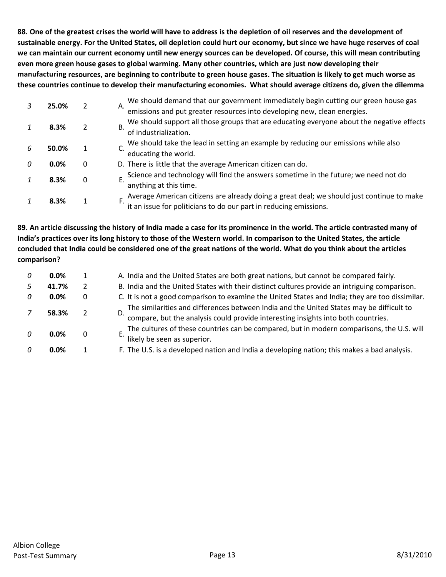88. One of the greatest crises the world will have to address is the depletion of oil reserves and the development of sustainable energy. For the United States, oil depletion could hurt our economy, but since we have huge reserves of coal we can maintain our current economy until new energy sources can be developed. Of course, this will mean contributing **even more green house gases to global warming. Many other countries, which are just now developing their** manufacturing resources, are beginning to contribute to green house gases. The situation is likely to get much worse as these countries continue to develop their manufacturing economies. What should average citizens do, given the dilemma

|      |                                        | We should demand that our government immediately begin cutting our green house gas<br>А.                                                                       |
|------|----------------------------------------|----------------------------------------------------------------------------------------------------------------------------------------------------------------|
|      |                                        | emissions and put greater resources into developing new, clean energies.                                                                                       |
|      |                                        | We should support all those groups that are educating everyone about the negative effects<br>В.                                                                |
|      |                                        | of industrialization.                                                                                                                                          |
|      |                                        | We should take the lead in setting an example by reducing our emissions while also                                                                             |
|      |                                        | educating the world.                                                                                                                                           |
| 0.0% | 0                                      | D. There is little that the average American citizen can do.                                                                                                   |
|      |                                        | Science and technology will find the answers sometime in the future; we need not do                                                                            |
|      |                                        | anything at this time.                                                                                                                                         |
|      |                                        |                                                                                                                                                                |
|      |                                        | Average American citizens are already doing a great deal; we should just continue to make<br>it an issue for politicians to do our part in reducing emissions. |
|      | 25.0%<br>8.3%<br>50.0%<br>8.3%<br>8.3% | 2<br>2<br>1<br>$\Omega$<br>1                                                                                                                                   |

89. An article discussing the history of India made a case for its prominence in the world. The article contrasted many of India's practices over its long history to those of the Western world. In comparison to the United States, the article concluded that India could be considered one of the great nations of the world. What do you think about the articles **comparison?**

| 0 | $0.0\%$ | 1 | A. India and the United States are both great nations, but cannot be compared fairly.                                                                                         |
|---|---------|---|-------------------------------------------------------------------------------------------------------------------------------------------------------------------------------|
|   | 41.7%   | 2 | B. India and the United States with their distinct cultures provide an intriguing comparison.                                                                                 |
|   | $0.0\%$ | 0 | C. It is not a good comparison to examine the United States and India; they are too dissimilar.                                                                               |
|   | 58.3%   |   | The similarities and differences between India and the United States may be difficult to<br>compare, but the analysis could provide interesting insights into both countries. |
|   | $0.0\%$ | 0 | The cultures of these countries can be compared, but in modern comparisons, the U.S. will<br>likely be seen as superior.                                                      |
|   | 0.0%    |   | F. The U.S. is a developed nation and India a developing nation; this makes a bad analysis.                                                                                   |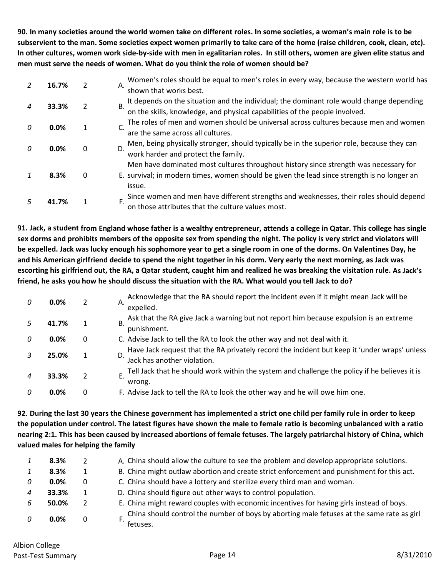90. In many societies around the world women take on different roles. In some societies, a woman's main role is to be subservient to the man. Some societies expect women primarily to take care of the home (raise children, cook, clean, etc). In other cultures, women work side-by-side with men in egalitarian roles. In still others, women are given elite status and **men must serve the needs of women. What do you think the role of women should be?**

|   | 16.7% | 2            | Women's roles should be equal to men's roles in every way, because the western world has<br>А.<br>shown that works best.                                                                      |
|---|-------|--------------|-----------------------------------------------------------------------------------------------------------------------------------------------------------------------------------------------|
|   | 33.3% | 2            | It depends on the situation and the individual; the dominant role would change depending<br>on the skills, knowledge, and physical capabilities of the people involved.<br>B.                 |
| n | 0.0%  | 1            | The roles of men and women should be universal across cultures because men and women<br>are the same across all cultures.                                                                     |
|   | 0.0%  | $\mathbf{0}$ | Men, being physically stronger, should typically be in the superior role, because they can<br>D.<br>work harder and protect the family.                                                       |
|   | 8.3%  | 0            | Men have dominated most cultures throughout history since strength was necessary for<br>E. survival; in modern times, women should be given the lead since strength is no longer an<br>issue. |
|   | 41.7% |              | Since women and men have different strengths and weaknesses, their roles should depend<br>on those attributes that the culture values most.                                                   |

91. Jack, a student from England whose father is a wealthy entrepreneur, attends a college in Qatar. This college has single sex dorms and prohibits members of the opposite sex from spending the night. The policy is very strict and violators will be expelled. Jack was lucky enough his sophomore year to get a single room in one of the dorms. On Valentines Day, he and his American girlfriend decide to spend the night together in his dorm. Very early the next morning, as Jack was escorting his girlfriend out, the RA, a Qatar student, caught him and realized he was breaking the visitation rule. As Jack's friend, he asks you how he should discuss the situation with the RA. What would you tell Jack to do?

| $\Omega$ | 0.0%    | 2 | Acknowledge that the RA should report the incident even if it might mean Jack will be<br>А.<br>expelled.                    |
|----------|---------|---|-----------------------------------------------------------------------------------------------------------------------------|
|          | 41.7%   |   | Ask that the RA give Jack a warning but not report him because expulsion is an extreme<br>В.<br>punishment.                 |
| n        | $0.0\%$ | 0 | C. Advise Jack to tell the RA to look the other way and not deal with it.                                                   |
|          | 25.0%   | 1 | Have Jack request that the RA privately record the incident but keep it 'under wraps' unless<br>Jack has another violation. |
|          | 33.3%   | 2 | Tell Jack that he should work within the system and challenge the policy if he believes it is<br>Е.<br>wrong.               |
| n        | $0.0\%$ | 0 | F. Advise Jack to tell the RA to look the other way and he will owe him one.                                                |

92. During the last 30 years the Chinese government has implemented a strict one child per family rule in order to keep the population under control. The latest figures have shown the male to female ratio is becoming unbalanced with a ratio nearing 2:1. This has been caused by increased abortions of female fetuses. The largely patriarchal history of China, which **valued males for helping the family**

|                           | 8.3%    |   | A. China should allow the culture to see the problem and develop appropriate solutions.                 |
|---------------------------|---------|---|---------------------------------------------------------------------------------------------------------|
| $\mathbf{1}$              | 8.3%    |   | B. China might outlaw abortion and create strict enforcement and punishment for this act.               |
| $\Omega$                  | $0.0\%$ | 0 | C. China should have a lottery and sterilize every third man and woman.                                 |
| $\boldsymbol{\varLambda}$ | 33.3%   |   | D. China should figure out other ways to control population.                                            |
| 6                         | 50.0%   |   | E. China might reward couples with economic incentives for having girls instead of boys.                |
| $\Omega$                  | $0.0\%$ | 0 | L China should control the number of boys by aborting male fetuses at the same rate as girl<br>fetuses. |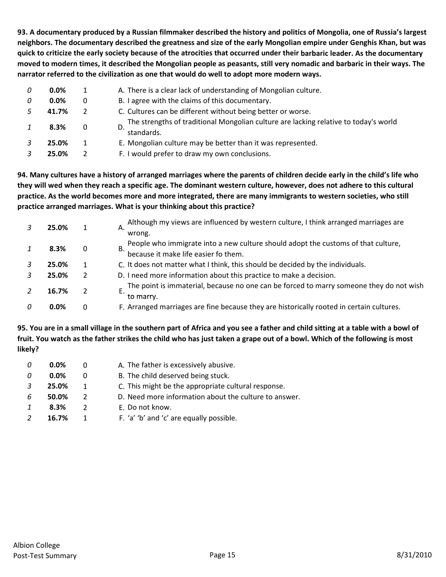93. A documentary produced by a Russian filmmaker described the history and politics of Mongolia, one of Russia's largest neighbors. The documentary described the greatness and size of the early Mongolian empire under Genghis Khan, but was quick to criticize the early society because of the atrocities that occurred under their barbaric leader. As the documentary moved to modern times, it described the Mongolian people as peasants, still very nomadic and barbaric in their ways. The **narrator referred to the civilization as one that would do well to adopt more modern ways.**

| 0 | $0.0\%$ |   | A. There is a clear lack of understanding of Mongolian culture.                                    |  |
|---|---------|---|----------------------------------------------------------------------------------------------------|--|
| 0 | $0.0\%$ | 0 | B. I agree with the claims of this documentary.                                                    |  |
|   | 41.7%   |   | C. Cultures can be different without being better or worse.                                        |  |
|   | 8.3%    | 0 | The strengths of traditional Mongolian culture are lacking relative to today's world<br>standards. |  |
|   | 25.0%   |   | E. Mongolian culture may be better than it was represented.                                        |  |
|   | 25.0%   |   | F. I would prefer to draw my own conclusions.                                                      |  |

94. Many cultures have a history of arranged marriages where the parents of children decide early in the child's life who they will wed when they reach a specific age. The dominant western culture, however, does not adhere to this cultural practice. As the world becomes more and more integrated, there are many immigrants to western societies, who still **practice arranged marriages. What is your thinking about this practice?**

|  | 25.0% |   | Although my views are influenced by western culture, I think arranged marriages are<br>Α.            |
|--|-------|---|------------------------------------------------------------------------------------------------------|
|  |       |   | wrong.                                                                                               |
|  | 8.3%  | 0 | People who immigrate into a new culture should adopt the customs of that culture,<br>В.              |
|  |       |   | because it make life easier fo them.                                                                 |
|  | 25.0% |   | C. It does not matter what I think, this should be decided by the individuals.                       |
|  | 25.0% |   | D. I need more information about this practice to make a decision.                                   |
|  | 16.7% |   | The point is immaterial, because no one can be forced to marry someone they do not wish<br>to marry. |
|  | 0.0%  | 0 | F. Arranged marriages are fine because they are historically rooted in certain cultures.             |

95. You are in a small village in the southern part of Africa and you see a father and child sitting at a table with a bowl of fruit. You watch as the father strikes the child who has just taken a grape out of a bowl. Which of the following is most **likely?**

| 0 | $0.0\%$ | O             | A. The father is excessively abusive.                 |
|---|---------|---------------|-------------------------------------------------------|
| 0 | 0.0%    |               | B. The child deserved being stuck.                    |
|   | 25.0%   |               | C. This might be the appropriate cultural response.   |
| 6 | 50.0%   | $\mathcal{L}$ | D. Need more information about the culture to answer. |
|   | 8.3%    | 2             | E. Do not know.                                       |
|   | 16.7%   |               | F. 'a' 'b' and 'c' are equally possible.              |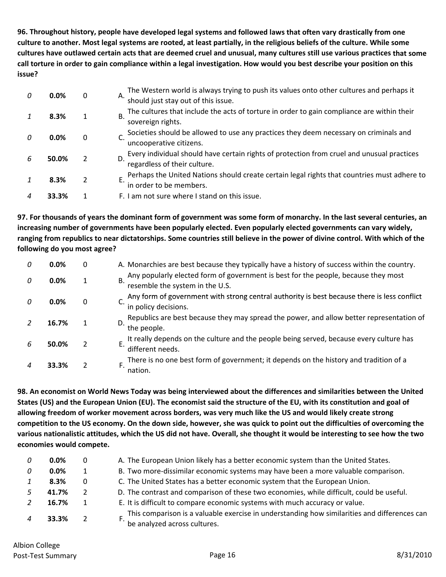96. Throughout history, people have developed legal systems and followed laws that often vary drastically from one culture to another. Most legal systems are rooted, at least partially, in the religious beliefs of the culture. While some cultures have outlawed certain acts that are deemed cruel and unusual, many cultures still use various practices that some call torture in order to gain compliance within a legal investigation. How would you best describe your position on this **issue?**

| 0 | 0.0%  | 0 | The Western world is always trying to push its values onto other cultures and perhaps it<br>А.<br>should just stay out of this issue. |
|---|-------|---|---------------------------------------------------------------------------------------------------------------------------------------|
|   | 8.3%  |   | The cultures that include the acts of torture in order to gain compliance are within their<br><b>B.</b><br>sovereign rights.          |
| n | 0.0%  | 0 | Societies should be allowed to use any practices they deem necessary on criminals and<br>uncooperative citizens.                      |
| 6 | 50.0% |   | Every individual should have certain rights of protection from cruel and unusual practices<br>D.<br>regardless of their culture.      |
|   | 8.3%  | 2 | Perhaps the United Nations should create certain legal rights that countries must adhere to<br>in order to be members.                |
|   | 33.3% |   | F. I am not sure where I stand on this issue.                                                                                         |

97. For thousands of years the dominant form of government was some form of monarchy. In the last several centuries, an **increasing number of governments have been popularly elected. Even popularly elected governments can vary widely,** ranging from republics to near dictatorships. Some countries still believe in the power of divine control. With which of the **following do you most agree?**

| 0 | 0.0%  | 0           | A. Monarchies are best because they typically have a history of success within the country.                           |
|---|-------|-------------|-----------------------------------------------------------------------------------------------------------------------|
| 0 | 0.0%  | 1           | Any popularly elected form of government is best for the people, because they most<br>resemble the system in the U.S. |
|   | 0.0%  | $\mathbf 0$ | Any form of government with strong central authority is best because there is less conflict<br>in policy decisions.   |
|   | 16.7% |             | Republics are best because they may spread the power, and allow better representation of<br>the people.               |
| h | 50.0% |             | It really depends on the culture and the people being served, because every culture has<br>F.<br>different needs.     |
|   | 33.3% |             | There is no one best form of government; it depends on the history and tradition of a<br>F<br>nation.                 |

98. An economist on World News Today was being interviewed about the differences and similarities between the United States (US) and the European Union (EU). The economist said the structure of the EU, with its constitution and goal of allowing freedom of worker movement across borders, was very much like the US and would likely create strong competition to the US economy. On the down side, however, she was quick to point out the difficulties of overcoming the various nationalistic attitudes, which the US did not have. Overall, she thought it would be interesting to see how the two **economies would compete.**

| $0.0\%$ | $\Omega$ | A. The European Union likely has a better economic system than the United States.                                            |
|---------|----------|------------------------------------------------------------------------------------------------------------------------------|
| $0.0\%$ | 1        | B. Two more-dissimilar economic systems may have been a more valuable comparison.                                            |
| 8.3%    | 0        | C. The United States has a better economic system that the European Union.                                                   |
| 41.7%   |          | D. The contrast and comparison of these two economies, while difficult, could be useful.                                     |
| 16.7%   |          | E. It is difficult to compare economic systems with much accuracy or value.                                                  |
| 33.3%   |          | This comparison is a valuable exercise in understanding how similarities and differences can<br>be analyzed across cultures. |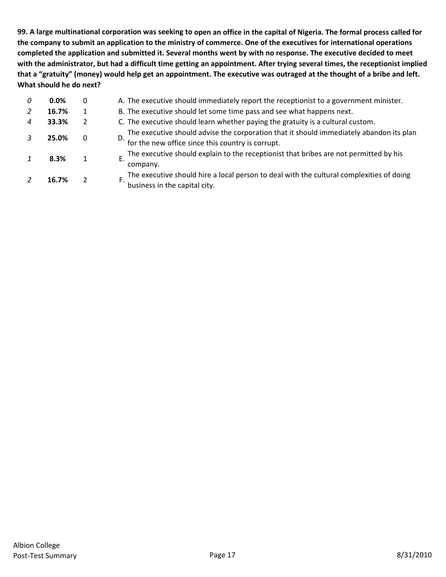99. A large multinational corporation was seeking to open an office in the capital of Nigeria. The formal process called for the company to submit an application to the ministry of commerce. One of the executives for international operations completed the application and submitted it. Several months went by with no response. The executive decided to meet with the administrator, but had a difficult time getting an appointment. After trying several times, the receptionist implied that a "gratuity" (money) would help get an appointment. The executive was outraged at the thought of a bribe and left. **What should he do next?**

| 0 | 0.0%  | 0            | A. The executive should immediately report the receptionist to a government minister.                                                              |
|---|-------|--------------|----------------------------------------------------------------------------------------------------------------------------------------------------|
|   | 16.7% |              | B. The executive should let some time pass and see what happens next.                                                                              |
| 4 | 33.3% | $\mathbf{2}$ | C. The executive should learn whether paying the gratuity is a cultural custom.                                                                    |
|   | 25.0% | 0            | The executive should advise the corporation that it should immediately abandon its plan<br>D.<br>for the new office since this country is corrupt. |
|   | 8.3%  |              | The executive should explain to the receptionist that bribes are not permitted by his<br>company.                                                  |
|   | 16.7% |              | The executive should hire a local person to deal with the cultural complexities of doing<br>business in the capital city.                          |
|   |       |              |                                                                                                                                                    |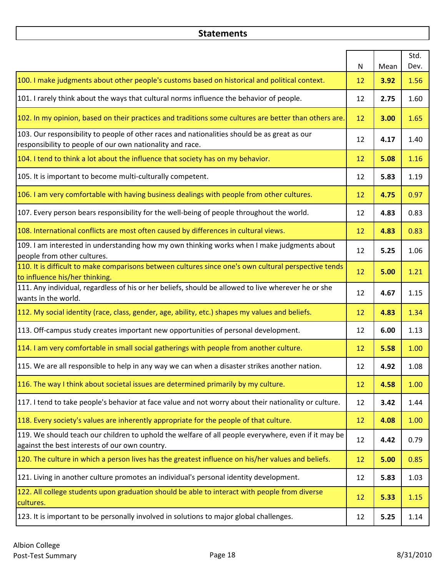#### **Statements**

|                                                                                                                                                           | N  | Mean | Std.<br>Dev. |
|-----------------------------------------------------------------------------------------------------------------------------------------------------------|----|------|--------------|
| 100. I make judgments about other people's customs based on historical and political context.                                                             | 12 | 3.92 | 1.56         |
| 101. I rarely think about the ways that cultural norms influence the behavior of people.                                                                  | 12 | 2.75 | 1.60         |
| 102. In my opinion, based on their practices and traditions some cultures are better than others are.                                                     | 12 | 3.00 | 1.65         |
| 103. Our responsibility to people of other races and nationalities should be as great as our<br>responsibility to people of our own nationality and race. | 12 | 4.17 | 1.40         |
| 104. I tend to think a lot about the influence that society has on my behavior.                                                                           | 12 | 5.08 | 1.16         |
| 105. It is important to become multi-culturally competent.                                                                                                | 12 | 5.83 | 1.19         |
| 106. I am very comfortable with having business dealings with people from other cultures.                                                                 | 12 | 4.75 | 0.97         |
| 107. Every person bears responsibility for the well-being of people throughout the world.                                                                 | 12 | 4.83 | 0.83         |
| 108. International conflicts are most often caused by differences in cultural views.                                                                      | 12 | 4.83 | 0.83         |
| 109. I am interested in understanding how my own thinking works when I make judgments about<br>people from other cultures.                                | 12 | 5.25 | 1.06         |
| 110. It is difficult to make comparisons between cultures since one's own cultural perspective tends<br>to influence his/her thinking.                    | 12 | 5.00 | 1.21         |
| 111. Any individual, regardless of his or her beliefs, should be allowed to live wherever he or she<br>wants in the world.                                | 12 | 4.67 | 1.15         |
| 112. My social identity (race, class, gender, age, ability, etc.) shapes my values and beliefs.                                                           | 12 | 4.83 | 1.34         |
| 113. Off-campus study creates important new opportunities of personal development.                                                                        | 12 | 6.00 | 1.13         |
| 114. I am very comfortable in small social gatherings with people from another culture.                                                                   | 12 | 5.58 | 1.00         |
| 115. We are all responsible to help in any way we can when a disaster strikes another nation.                                                             | 12 | 4.92 | 1.08         |
| 116. The way I think about societal issues are determined primarily by my culture.                                                                        | 12 | 4.58 | 1.00         |
| 117. I tend to take people's behavior at face value and not worry about their nationality or culture.                                                     | 12 | 3.42 | 1.44         |
| 118. Every society's values are inherently appropriate for the people of that culture.                                                                    | 12 | 4.08 | 1.00         |
| 119. We should teach our children to uphold the welfare of all people everywhere, even if it may be<br>against the best interests of our own country.     | 12 | 4.42 | 0.79         |
| 120. The culture in which a person lives has the greatest influence on his/her values and beliefs.                                                        | 12 | 5.00 | 0.85         |
| 121. Living in another culture promotes an individual's personal identity development.                                                                    | 12 | 5.83 | 1.03         |
| 122. All college students upon graduation should be able to interact with people from diverse<br>cultures.                                                | 12 | 5.33 | 1.15         |
| 123. It is important to be personally involved in solutions to major global challenges.                                                                   | 12 | 5.25 | 1.14         |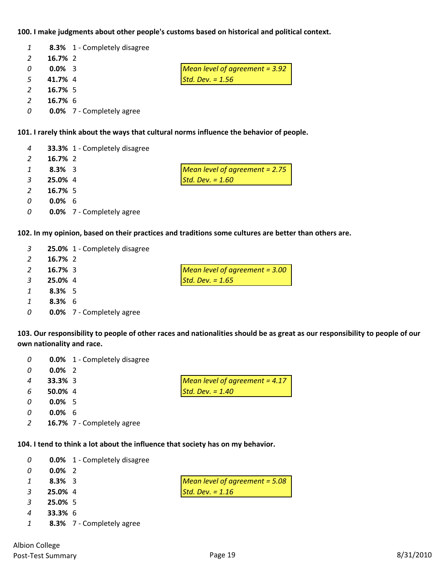#### **100. I make judgments about other people's customs based on historical and political context.**

|          |           | 8.3% 1 - Completely disagree |                                  |
|----------|-----------|------------------------------|----------------------------------|
| 2        | 16.7% 2   |                              |                                  |
| $\Omega$ | $0.0\%$ 3 |                              | Mean level of agreement = $3.92$ |
| -5       | 41.7% 4   |                              | Std. Dev. $= 1.56$               |
| 2        | 16.7% 5   |                              |                                  |
|          | 16.7% 6   |                              |                                  |

**0.0%** 7 ‐ Completely agree

#### **101. I rarely think about the ways that cultural norms influence the behavior of people.**

| $\overline{4}$ |           | 33.3% 1 - Completely disagree      |                                  |
|----------------|-----------|------------------------------------|----------------------------------|
| 2              | 16.7% 2   |                                    |                                  |
| $1 \quad$      | $8.3\%$ 3 |                                    | Mean level of agreement $= 2.75$ |
| $\mathbf{3}$   | 25.0% 4   |                                    | Std. Dev. $= 1.60$               |
| $\overline{2}$ | 16.7% 5   |                                    |                                  |
| $\Omega$       | $0.0\%$ 6 |                                    |                                  |
|                |           | 0 <b>0.0%</b> 7 - Completely agree |                                  |

**102. In my opinion, based on their practices and traditions some cultures are better than others are.**

| 3             |            | 25.0% 1 - Completely disagree    |                                  |
|---------------|------------|----------------------------------|----------------------------------|
| 2             | 16.7% 2    |                                  |                                  |
|               | $16.7\%$ 3 |                                  | Mean level of agreement $=$ 3.00 |
| 3             | 25.0% 4    |                                  | Std. Dev. $= 1.65$               |
| $\mathcal{I}$ | $8.3\%$ 5  |                                  |                                  |
| 1             | $8.3\%$ 6  |                                  |                                  |
| 0             |            | <b>0.0%</b> 7 - Completely agree |                                  |

103. Our responsibility to people of other races and nationalities should be as great as our responsibility to people of our **own nationality and race.**

| -0             | $0.0\%$ 2      |                                  |
|----------------|----------------|----------------------------------|
| $\overline{4}$ | <b>33.3%</b> 3 | Mean level of agreement = $4.17$ |
| -6             | 50.0% 4        | Std. Dev. $= 1.40$               |
| 0              | $0.0\%$ 5      |                                  |
| 0              | $0.0\%$ 6      |                                  |

**16.7%** 7 ‐ Completely agree

**8.3%** 7 ‐ Completely agree

**0.0%** 1 ‐ Completely disagree

**104. I tend to think a lot about the influence that society has on my behavior.**

|               |                | <b>0.0%</b> 1 - Completely disagree |                                  |
|---------------|----------------|-------------------------------------|----------------------------------|
| 0             | $0.0\%$ 2      |                                     |                                  |
| $\mathcal{I}$ | $8.3\%$ 3      |                                     | Mean level of agreement = $5.08$ |
| 3             | 25.0% 4        |                                     | Std. Dev. $= 1.16$               |
| 3             | 25.0% 5        |                                     |                                  |
|               | <b>33.3%</b> 6 |                                     |                                  |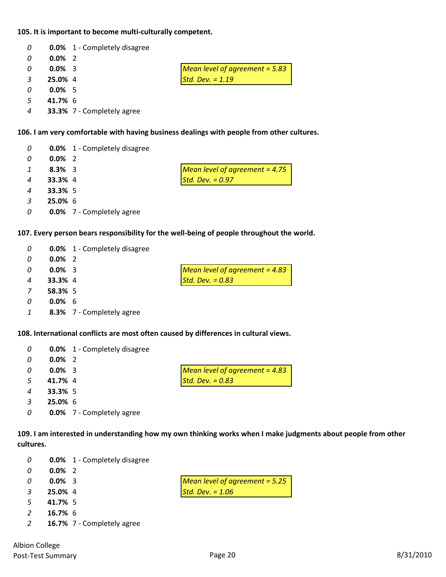#### **105. It is important to become multi‐culturally competent.**

| 0             |           | <b>0.0%</b> 1 - Completely disagree |                                  |
|---------------|-----------|-------------------------------------|----------------------------------|
| 0             | $0.0\%$ 2 |                                     |                                  |
| 0             | $0.0\%$ 3 |                                     | Mean level of agreement = $5.83$ |
| $\mathcal{E}$ | 25.0% 4   |                                     | Std. Dev. $= 1.19$               |
| 0             | $0.0\%$ 5 |                                     |                                  |
| - 5           | 41.7% 6   |                                     |                                  |
| 4             |           | 33.3% 7 - Completely agree          |                                  |

#### **106. I am very comfortable with having business dealings with people from other cultures.**

| 0              |                | <b>0.0%</b> 1 - Completely disagree |                                  |
|----------------|----------------|-------------------------------------|----------------------------------|
| 0              | $0.0\%$ 2      |                                     |                                  |
| $\mathcal{I}$  | $8.3\%$ 3      |                                     | Mean level of agreement = $4.75$ |
| $\overline{4}$ | 33.3% 4        |                                     | Std. Dev. $= 0.97$               |
| $\overline{4}$ | <b>33.3%</b> 5 |                                     |                                  |
| $\overline{3}$ | $25.0\%$ 6     |                                     |                                  |
| 0              |                | <b>0.0%</b> 7 - Completely agree    |                                  |

#### **107. Every person bears responsibility for the well‐being of people throughout the world.**

| 0              |                | <b>0.0%</b> 1 - Completely disagree |                                  |
|----------------|----------------|-------------------------------------|----------------------------------|
| 0              | $0.0\%$ 2      |                                     |                                  |
| 0              | $0.0\%$ 3      |                                     | Mean level of agreement $= 4.83$ |
| $\overline{a}$ | <b>33.3%</b> 4 |                                     | Std. Dev. $= 0.83$               |
| <sup>7</sup>   | 58.3% 5        |                                     |                                  |
|                | $0.0\%$ 6      |                                     |                                  |

# **8.3%** 7 ‐ Completely agree

#### **108. International conflicts are most often caused by differences in cultural views.**

| 0            |                | <b>0.0%</b> 1 - Completely disagree |                                  |
|--------------|----------------|-------------------------------------|----------------------------------|
| 0            | $0.0\%$ 2      |                                     |                                  |
| 0            | $0.0\%$ 3      |                                     | Mean level of agreement $= 4.83$ |
| -5           | 41.7% 4        |                                     | Std. Dev. $= 0.83$               |
| 4            | <b>33.3%</b> 5 |                                     |                                  |
| $\mathbf{R}$ | $25.0\%$ 6     |                                     |                                  |
| 0            |                | <b>0.0%</b> 7 - Completely agree    |                                  |

109. I am interested in understanding how my own thinking works when I make judgments about people from other **cultures.**

| - 0 |  | <b>0.0%</b> 1 - Completely disagree |
|-----|--|-------------------------------------|
|-----|--|-------------------------------------|

- **0.0%** 2
- **0.0%** 3 *Mean level of agreement = 5.25*
- **25.0%** 4 *Std. Dev. = 1.06*
- **41.7%** 5
- **16.7%** 6
- **16.7%** 7 ‐ Completely agree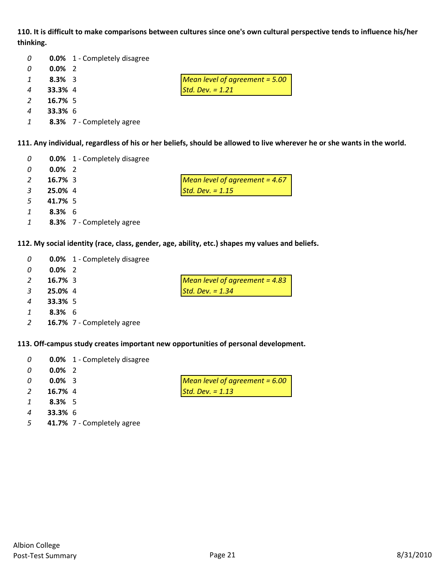110. It is difficult to make comparisons between cultures since one's own cultural perspective tends to influence his/her **thinking.**

| 0              |                | <b>0.0%</b> 1 - Completely disagree |                                  |
|----------------|----------------|-------------------------------------|----------------------------------|
| 0              | $0.0\%$ 2      |                                     |                                  |
| 1              | $8.3\%$ 3      |                                     | Mean level of agreement $=$ 5.00 |
| $\overline{A}$ | 33.3% 4        |                                     | Std. Dev. $= 1.21$               |
| $\mathcal{L}$  | $16.7\%$ 5     |                                     |                                  |
| 4              | <b>33.3% 6</b> |                                     |                                  |
|                |                | 8.3% 7 - Completely agree           |                                  |

111. Any individual, regardless of his or her beliefs, should be allowed to live wherever he or she wants in the world.

| 0             |            | <b>0.0%</b> 1 - Completely disagree |                                  |
|---------------|------------|-------------------------------------|----------------------------------|
| 0             | $0.0\%$ 2  |                                     |                                  |
| $\mathcal{L}$ | $16.7\%$ 3 |                                     | Mean level of agreement = $4.67$ |
| 3             | 25.0% 4    |                                     | Std. Dev. $= 1.15$               |
| 5             | 41.7% 5    |                                     |                                  |
| 1             | $8.3\%$ 6  |                                     |                                  |
| 1             |            | 8.3% 7 - Completely agree           |                                  |
|               |            |                                     |                                  |

**112. My social identity (race, class, gender, age, ability, etc.) shapes my values and beliefs.**

| 0 |                | <b>0.0%</b> 1 - Completely disagree |                                  |
|---|----------------|-------------------------------------|----------------------------------|
| 0 | $0.0\%$ 2      |                                     |                                  |
|   | $16.7\%$ 3     |                                     | Mean level of agreement = $4.83$ |
| 3 | 25.0% 4        |                                     | Std. Dev. $= 1.34$               |
| 4 | <b>33.3%</b> 5 |                                     |                                  |
|   | $8.3\%$ 6      |                                     |                                  |
|   |                | 16.7% 7 - Completely agree          |                                  |

**113. Off‐campus study creates important new opportunities of personal development.**

| 0 |  | <b>0.0%</b> 1 - Completely disagree |
|---|--|-------------------------------------|
|---|--|-------------------------------------|

- **0.0%** 2
- 
- **16.7%** 4 *Std. Dev. = 1.13*
- **8.3%** 5
- **33.3%** 6
- **41.7%** 7 ‐ Completely agree

| $0.0\%$ 3 | Mean level of agreement = $6.00$ |
|-----------|----------------------------------|
| 16.7% 4   | Std. Dev. $= 1.13$               |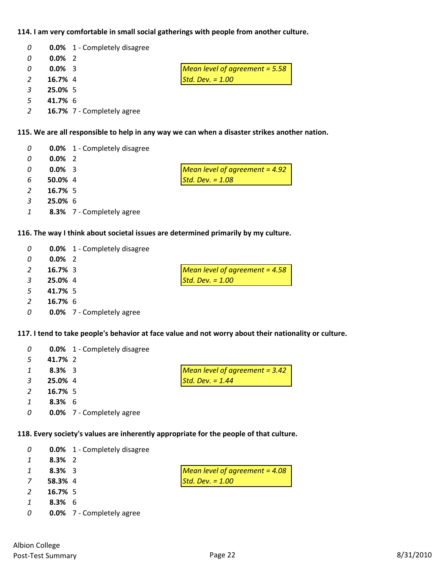#### **114. I am very comfortable in small social gatherings with people from another culture.**

| $\overline{0}$ |           | <b>0.0%</b> 1 - Completely disagree |                                |
|----------------|-----------|-------------------------------------|--------------------------------|
| -0             | $0.0\%$ 2 |                                     |                                |
| $\Omega$       | $0.0\%$ 3 |                                     | Mean level of agreement = 5.58 |
| 2              | 16.7% 4   |                                     | Std. Dev. $= 1.00$             |
| $\mathcal{E}$  | 25.0% 5   |                                     |                                |
| -5             | 41.7% 6   |                                     |                                |

**16.7%** 7 ‐ Completely agree

### **115. We are all responsible to help in any way we can when a disaster strikes another nation.**

| 0            |            | <b>0.0%</b> 1 - Completely disagree |                                       |
|--------------|------------|-------------------------------------|---------------------------------------|
| 0            | $0.0\%$ 2  |                                     |                                       |
| 0            | $0.0\%$ 3  |                                     | <b>Mean level of agreement = 4.92</b> |
| 6            | 50.0% 4    |                                     | Std. Dev. $= 1.08$                    |
| 2            | 16.7% 5    |                                     |                                       |
| 3            | $25.0\%$ 6 |                                     |                                       |
| $\mathbf{1}$ |            | 8.3% 7 - Completely agree           |                                       |

#### **116. The way I think about societal issues are determined primarily by my culture.**

| 0             |            | <b>0.0%</b> 1 - Completely disagree |                                  |
|---------------|------------|-------------------------------------|----------------------------------|
| 0             | $0.0\%$ 2  |                                     |                                  |
|               | $16.7\%$ 3 |                                     | Mean level of agreement = $4.58$ |
| $\mathcal{R}$ | 25.0% 4    |                                     | Std. Dev. $= 1.00$               |
| - 5           | 41.7% 5    |                                     |                                  |

#### 117. I tend to take people's behavior at face value and not worry about their nationality or culture.

| 0  |           | <b>0.0%</b> 1 - Completely disagree |                                  |
|----|-----------|-------------------------------------|----------------------------------|
| -5 | 41.7% 2   |                                     |                                  |
|    | $8.3\%$ 3 |                                     | Mean level of agreement $= 3.42$ |
|    | 25.0% 4   |                                     | Std. Dev. $= 1.44$               |
|    | 16.7% 5   |                                     |                                  |
|    | $8.3\%$ 6 |                                     |                                  |
| 0  |           | <b>0.0%</b> 7 - Completely agree    |                                  |

#### **118. Every society's values are inherently appropriate for the people of that culture.**

| 0 |           | <b>0.0%</b> 1 - Completely disagree |                                  |
|---|-----------|-------------------------------------|----------------------------------|
| 1 | $8.3\%$ 2 |                                     |                                  |
|   | $8.3\%$ 3 |                                     | Mean level of agreement $=$ 4.08 |
| 7 | 58.3% 4   |                                     | Std. Dev. $= 1.00$               |
|   | 16.7% 5   |                                     |                                  |
|   | $8.3\%$ 6 |                                     |                                  |
| 0 |           | <b>0.0%</b> 7 - Completely agree    |                                  |

**16.7%** 6

**0.0%** 7 ‐ Completely agree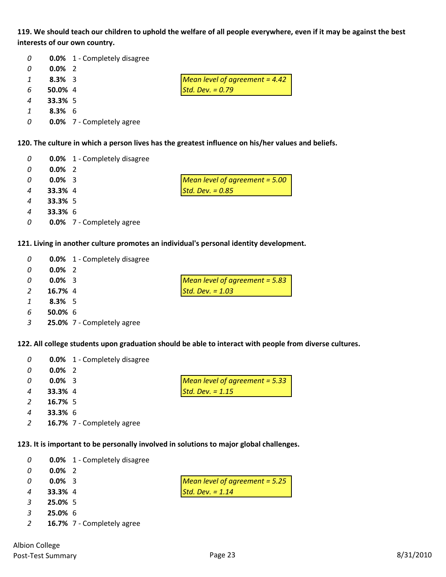119. We should teach our children to uphold the welfare of all people everywhere, even if it may be against the best **interests of our own country.**

| 0              |                | <b>0.0%</b> 1 - Completely disagree |                                  |
|----------------|----------------|-------------------------------------|----------------------------------|
| 0              | $0.0\%$ 2      |                                     |                                  |
| $\mathcal{I}$  | $8.3\%$ 3      |                                     | Mean level of agreement = $4.42$ |
| 6              | $50.0\%$ 4     |                                     | Std. Dev. $= 0.79$               |
| $\overline{4}$ | <b>33.3%</b> 5 |                                     |                                  |
|                | $8.3\%$ 6      |                                     |                                  |

**0.0%** 7 ‐ Completely agree

**120. The culture in which a person lives has the greatest influence on his/her values and beliefs.**

| 0 |                | <b>0.0%</b> 1 - Completely disagree |                                  |
|---|----------------|-------------------------------------|----------------------------------|
| 0 | $0.0\%$ 2      |                                     |                                  |
| 0 | $0.0\%$ 3      |                                     | Mean level of agreement $=$ 5.00 |
| 4 | 33.3% 4        |                                     | Std. Dev. $= 0.85$               |
| 4 | <b>33.3%</b> 5 |                                     |                                  |
| 4 | <b>33.3% 6</b> |                                     |                                  |
| 0 |                | <b>0.0%</b> 7 - Completely agree    |                                  |

**121. Living in another culture promotes an individual's personal identity development.**

| 0             |            | <b>0.0%</b> 1 - Completely disagree |                                  |
|---------------|------------|-------------------------------------|----------------------------------|
| 0             | $0.0\%$ 2  |                                     |                                  |
| n             | $0.0\%$ 3  |                                     | Mean level of agreement $= 5.83$ |
| 2             | 16.7% 4    |                                     | Std. Dev. $= 1.03$               |
| $\mathcal{I}$ | $8.3\%$ 5  |                                     |                                  |
| 6             | $50.0\%$ 6 |                                     |                                  |
|               |            |                                     |                                  |

**25.0%** 7 ‐ Completely agree

**122. All college students upon graduation should be able to interact with people from diverse cultures.**

| 0                | <b>0.0%</b> 1 - Completely disagree |                                  |
|------------------|-------------------------------------|----------------------------------|
| 0                | $0.0\%$ 2                           |                                  |
| 0                | $0.0\%$ 3                           | Mean level of agreement $= 5.33$ |
| $\boldsymbol{4}$ | <b>33.3%</b> 4                      | Std. Dev. $= 1.15$               |
| 2                | $16.7\%$ 5                          |                                  |
| 4                | <b>33.3% 6</b>                      |                                  |
| 2                | 16.7% 7 - Completely agree          |                                  |

**123. It is important to be personally involved in solutions to major global challenges.**

| 0              |                | <b>0.0%</b> 1 - Completely disagree |                                |
|----------------|----------------|-------------------------------------|--------------------------------|
| -0             | $0.0\%$ 2      |                                     |                                |
| -0             | $0.0\%$ 3      |                                     | Mean level of agreement = 5.25 |
| $\overline{4}$ | <b>33.3%</b> 4 |                                     | Std. Dev. $= 1.14$             |
|                | 25.0% 5        |                                     |                                |
|                |                |                                     |                                |

- **25.0%** 6
- **16.7%** 7 ‐ Completely agree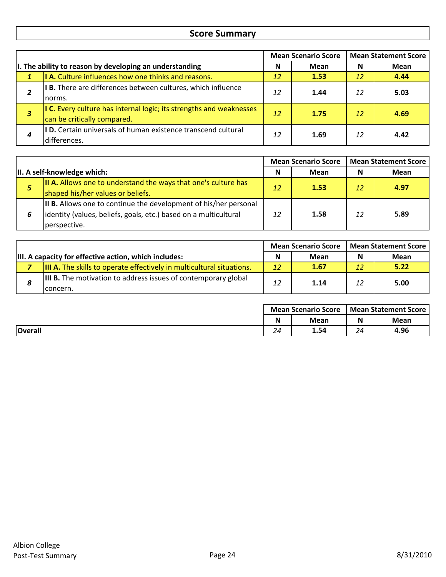# **Score Summary**

|                                                         |                                                                                                    |                 | <b>Mean Scenario Score</b> |    | <b>Mean Statement Score</b> |  |
|---------------------------------------------------------|----------------------------------------------------------------------------------------------------|-----------------|----------------------------|----|-----------------------------|--|
| I. The ability to reason by developing an understanding |                                                                                                    |                 | Mean                       | N  | <b>Mean</b>                 |  |
|                                                         | I A. Culture influences how one thinks and reasons.                                                | 12 <sub>1</sub> | 1.53                       | 12 | 4.44                        |  |
| 2                                                       | <b>IB.</b> There are differences between cultures, which influence<br>norms.                       | 12              | 1.44                       | 12 | 5.03                        |  |
| з                                                       | I C. Every culture has internal logic; its strengths and weaknesses<br>can be critically compared. | 12              | 1.75                       | 12 | 4.69                        |  |
| 4                                                       | <b>ID.</b> Certain universals of human existence transcend cultural<br>differences.                | 12              | 1.69                       | 12 | 4.42                        |  |

|   |                                                                                                                                                       | <b>Mean Scenario Score</b> |      | <b>Mean Statement Score</b> |      |
|---|-------------------------------------------------------------------------------------------------------------------------------------------------------|----------------------------|------|-----------------------------|------|
|   | II. A self-knowledge which:                                                                                                                           | N                          | Mean | N                           | Mean |
| 5 | <b>II A.</b> Allows one to understand the ways that one's culture has<br>shaped his/her values or beliefs.                                            | 12                         | 1.53 | 12                          | 4.97 |
|   | II B. Allows one to continue the development of his/her personal<br>lidentity (values, beliefs, goals, etc.) based on a multicultural<br>perspective. | 12                         | 1.58 | 12                          | 5.89 |

|                                                                    |                                                                                    | <b>Mean Scenario Score</b> |      | <b>Mean Statement Score</b> |      |
|--------------------------------------------------------------------|------------------------------------------------------------------------------------|----------------------------|------|-----------------------------|------|
| III. A capacity for effective action, which includes:<br>N<br>Mean |                                                                                    | N                          | Mean |                             |      |
|                                                                    | <b>III A.</b> The skills to operate effectively in multicultural situations.       | 12                         | 1.67 | 12                          | 5.22 |
| 8                                                                  | <b>III B.</b> The motivation to address issues of contemporary global<br>Iconcern. |                            | 1.14 | 12                          | 5.00 |

|                | <b>Mean Scenario Score</b> |      | <b>Mean Statement Score I</b> |      |
|----------------|----------------------------|------|-------------------------------|------|
|                | N                          | Mean | N                             | Mean |
| <b>Overall</b> | $2\pi$<br><u> 25</u>       | 1.54 | 24                            | 4.96 |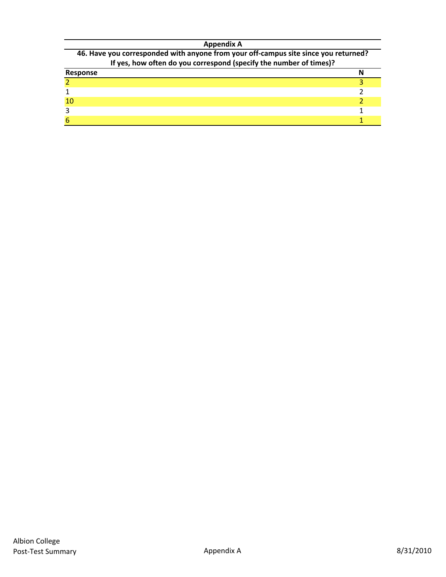#### **Appendix A**

| 46. Have you corresponded with anyone from your off-campus site since you returned? |  |
|-------------------------------------------------------------------------------------|--|
| If yes, how often do you correspond (specify the number of times)?                  |  |
|                                                                                     |  |

| ", yes, now orien as you correspond (specify the number of thirds). |  |
|---------------------------------------------------------------------|--|
| Response                                                            |  |
|                                                                     |  |
|                                                                     |  |
| 10                                                                  |  |
|                                                                     |  |
|                                                                     |  |